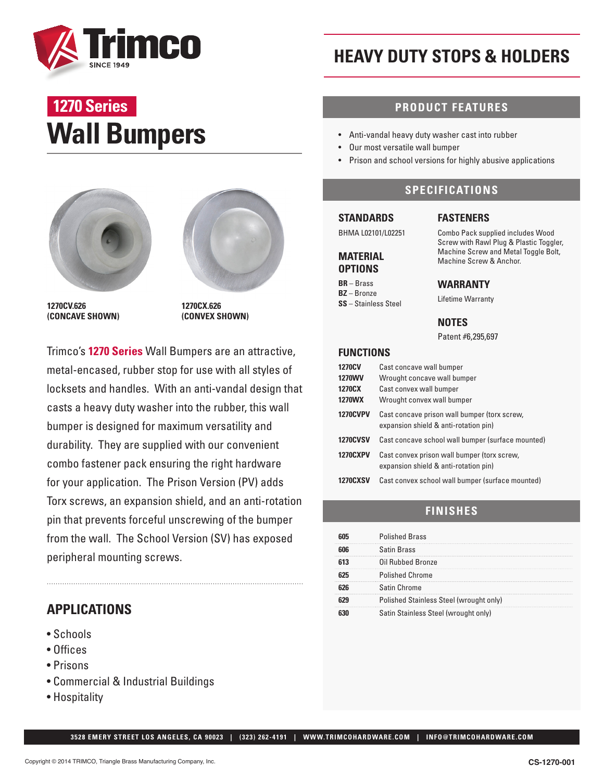

# **Wall Bumpers 1270 Series**





**1270CV.626 (CONCAVE SHOWN)** **1270CX.626 (CONVEX SHOWN)**

Trimco's **1270 Series** Wall Bumpers are an attractive, metal-encased, rubber stop for use with all styles of locksets and handles. With an anti-vandal design that casts a heavy duty washer into the rubber, this wall bumper is designed for maximum versatility and durability. They are supplied with our convenient combo fastener pack ensuring the right hardware for your application. The Prison Version (PV) adds Torx screws, an expansion shield, and an anti-rotation pin that prevents forceful unscrewing of the bumper from the wall. The School Version (SV) has exposed peripheral mounting screws.

# **APPLICATIONS**

- Schools
- Offices
- Prisons
- Commercial & Industrial Buildings
- Hospitality

# **HEAVY DUTY STOPS & HOLDERS**

## **PRODUCT FEATURES**

- Anti-vandal heavy duty washer cast into rubber
- Our most versatile wall bumper
- Prison and school versions for highly abusive applications

## **SPECIFICATIONS**

#### **STANDARDS**

**MATERIAL OPTIONS BR** – Brass **BZ** – Bronze **SS** – Stainless Steel

BHMA L02101/L02251

#### **FASTENERS**

Combo Pack supplied includes Wood Screw with Rawl Plug & Plastic Toggler, Machine Screw and Metal Toggle Bolt, Machine Screw & Anchor.

#### **WARRANTY**

Lifetime Warranty

**NOTES**

Patent #6,295,697

#### **FUNCTIONS**

| <b>1270CV</b><br><b>1270WV</b><br>1270CX<br>1270WX | Cast concave wall bumper<br>Wrought concave wall bumper<br>Cast convex wall bumper<br>Wrought convex wall bumper |
|----------------------------------------------------|------------------------------------------------------------------------------------------------------------------|
| <b>1270CVPV</b>                                    | Cast concave prison wall bumper (torx screw,<br>expansion shield & anti-rotation pin)                            |
| <b>1270CVSV</b>                                    | Cast concave school wall bumper (surface mounted)                                                                |
| <b>1270CXPV</b>                                    | Cast convex prison wall bumper (torx screw,<br>expansion shield & anti-rotation pin)                             |
| <b>1270CXSV</b>                                    | Cast convex school wall bumper (surface mounted)                                                                 |

### **FINISHES**

| <b>Polished Brass</b>                   |
|-----------------------------------------|
| <b>Satin Brass</b>                      |
| Oil Rubbed Bronze                       |
| <b>Polished Chrome</b>                  |
| Satin Chrome                            |
| Polished Stainless Steel (wrought only) |
| Satin Stainless Steel (wrought only)    |

 **3528 EMERY STREET LOS ANGELES, CA 90023 | (323) 262-4191 | WWW.TRIMCOHARDWARE.COM | INFO@TRIMCOHARDWARE.COM**